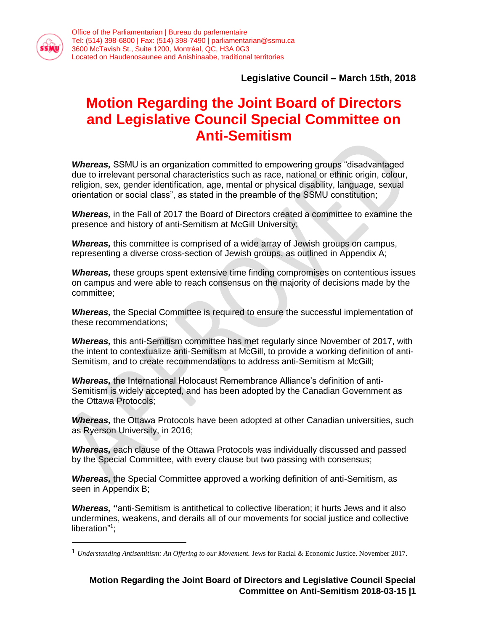

 $\overline{\phantom{a}}$ 

Office of the Parliamentarian | Bureau du parlementaire Tel: (514) 398-6800 | Fax: (514) 398-7490 | parliamentarian@ssmu.ca 3600 McTavish St., Suite 1200, Montréal, QC, H3A 0G3 Located on Haudenosaunee and Anishinaabe, traditional territories

**Legislative Council – March 15th, 2018**

# **Motion Regarding the Joint Board of Directors and Legislative Council Special Committee on Anti-Semitism**

*Whereas,* SSMU is an organization committed to empowering groups "disadvantaged due to irrelevant personal characteristics such as race, national or ethnic origin, colour, religion, sex, gender identification, age, mental or physical disability, language, sexual orientation or social class", as stated in the preamble of the SSMU constitution;

*Whereas,* in the Fall of 2017 the Board of Directors created a committee to examine the presence and history of anti-Semitism at McGill University;

*Whereas,* this committee is comprised of a wide array of Jewish groups on campus, representing a diverse cross-section of Jewish groups, as outlined in Appendix A;

*Whereas,* these groups spent extensive time finding compromises on contentious issues on campus and were able to reach consensus on the majority of decisions made by the committee;

*Whereas,* the Special Committee is required to ensure the successful implementation of these recommendations;

*Whereas,* this anti-Semitism committee has met regularly since November of 2017, with the intent to contextualize anti-Semitism at McGill, to provide a working definition of anti-Semitism, and to create recommendations to address anti-Semitism at McGill;

*Whereas,* the International Holocaust Remembrance Alliance's definition of anti-Semitism is widely accepted, and has been adopted by the Canadian Government as the Ottawa Protocols;

*Whereas,* the Ottawa Protocols have been adopted at other Canadian universities, such as Ryerson University, in 2016;

*Whereas,* each clause of the Ottawa Protocols was individually discussed and passed by the Special Committee, with every clause but two passing with consensus;

*Whereas,* the Special Committee approved a working definition of anti-Semitism, as seen in Appendix B;

*Whereas,* **"**anti-Semitism is antithetical to collective liberation; it hurts Jews and it also undermines, weakens, and derails all of our movements for social justice and collective liberation"<sup>1</sup>;

<sup>1</sup> *Understanding Antisemitism: An Offering to our Movement.* Jews for Racial & Economic Justice. November 2017.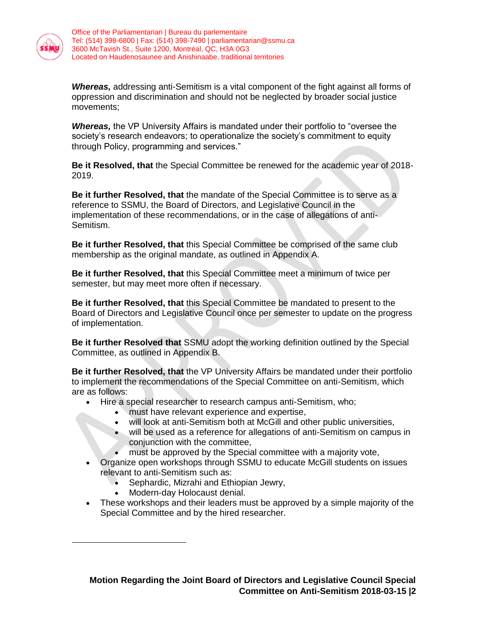

Office of the Parliamentarian | Bureau du parlementaire Tel: (514) 398-6800 | Fax: (514) 398-7490 | parliamentarian@ssmu.ca 3600 McTavish St., Suite 1200, Montréal, QC, H3A 0G3 Located on Haudenosaunee and Anishinaabe, traditional territories

*Whereas,* addressing anti-Semitism is a vital component of the fight against all forms of oppression and discrimination and should not be neglected by broader social justice movements;

*Whereas,* the VP University Affairs is mandated under their portfolio to "oversee the society's research endeavors; to operationalize the society's commitment to equity through Policy, programming and services."

**Be it Resolved, that** the Special Committee be renewed for the academic year of 2018- 2019.

**Be it further Resolved, that** the mandate of the Special Committee is to serve as a reference to SSMU, the Board of Directors, and Legislative Council in the implementation of these recommendations, or in the case of allegations of anti-Semitism.

**Be it further Resolved, that** this Special Committee be comprised of the same club membership as the original mandate, as outlined in Appendix A.

**Be it further Resolved, that** this Special Committee meet a minimum of twice per semester, but may meet more often if necessary.

**Be it further Resolved, that** this Special Committee be mandated to present to the Board of Directors and Legislative Council once per semester to update on the progress of implementation.

**Be it further Resolved that** SSMU adopt the working definition outlined by the Special Committee, as outlined in Appendix B.

**Be it further Resolved, that** the VP University Affairs be mandated under their portfolio to implement the recommendations of the Special Committee on anti-Semitism, which are as follows:

- Hire a special researcher to research campus anti-Semitism, who;
	- must have relevant experience and expertise,
	- will look at anti-Semitism both at McGill and other public universities,
	- will be used as a reference for allegations of anti-Semitism on campus in conjunction with the committee,
	- must be approved by the Special committee with a majority vote,
- Organize open workshops through SSMU to educate McGill students on issues relevant to anti-Semitism such as:
	- Sephardic, Mizrahi and Ethiopian Jewry,
	- Modern-day Holocaust denial.

 $\overline{\phantom{a}}$ 

• These workshops and their leaders must be approved by a simple majority of the Special Committee and by the hired researcher.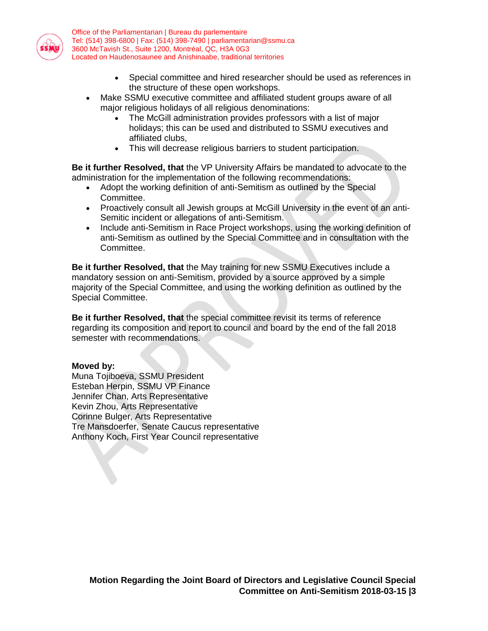

Office of the Parliamentarian | Bureau du parlementaire Tel: (514) 398-6800 | Fax: (514) 398-7490 | parliamentarian@ssmu.ca 3600 McTavish St., Suite 1200, Montréal, QC, H3A 0G3 Located on Haudenosaunee and Anishinaabe, traditional territories

- Special committee and hired researcher should be used as references in the structure of these open workshops.
- Make SSMU executive committee and affiliated student groups aware of all major religious holidays of all religious denominations:
	- The McGill administration provides professors with a list of major holidays; this can be used and distributed to SSMU executives and affiliated clubs,
	- This will decrease religious barriers to student participation.

**Be it further Resolved, that** the VP University Affairs be mandated to advocate to the administration for the implementation of the following recommendations:

- Adopt the working definition of anti-Semitism as outlined by the Special Committee.
- Proactively consult all Jewish groups at McGill University in the event of an anti-Semitic incident or allegations of anti-Semitism.
- Include anti-Semitism in Race Project workshops, using the working definition of anti-Semitism as outlined by the Special Committee and in consultation with the Committee.

**Be it further Resolved, that** the May training for new SSMU Executives include a mandatory session on anti-Semitism, provided by a source approved by a simple majority of the Special Committee, and using the working definition as outlined by the Special Committee.

**Be it further Resolved, that** the special committee revisit its terms of reference regarding its composition and report to council and board by the end of the fall 2018 semester with recommendations.

#### **Moved by:**

Muna Tojiboeva, SSMU President Esteban Herpin, SSMU VP Finance Jennifer Chan, Arts Representative Kevin Zhou, Arts Representative Corinne Bulger, Arts Representative Tre Mansdoerfer, Senate Caucus representative Anthony Koch, First Year Council representative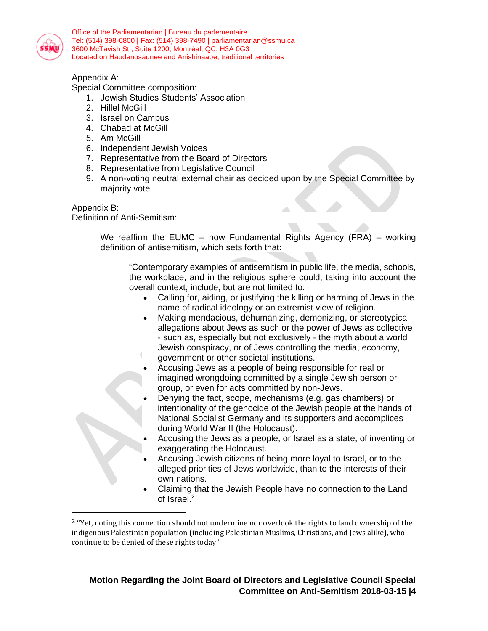

Office of the Parliamentarian | Bureau du parlementaire Tel: (514) 398-6800 | Fax: (514) 398-7490 | parliamentarian@ssmu.ca 3600 McTavish St., Suite 1200, Montréal, QC, H3A 0G3 Located on Haudenosaunee and Anishinaabe, traditional territories

### Appendix A:

Special Committee composition:

- 1. Jewish Studies Students' Association
- 2. Hillel McGill
- 3. Israel on Campus
- 4. Chabad at McGill
- 5. Am McGill
- 6. Independent Jewish Voices
- 7. Representative from the Board of Directors
- 8. Representative from Legislative Council
- 9. A non-voting neutral external chair as decided upon by the Special Committee by majority vote

#### Appendix B:

 $\overline{\phantom{a}}$ 

Definition of Anti-Semitism:

We reaffirm the EUMC – now Fundamental Rights Agency (FRA) – working definition of antisemitism, which sets forth that:

"Contemporary examples of antisemitism in public life, the media, schools, the workplace, and in the religious sphere could, taking into account the overall context, include, but are not limited to:

• Calling for, aiding, or justifying the killing or harming of Jews in the name of radical ideology or an extremist view of religion.

- Making mendacious, dehumanizing, demonizing, or stereotypical allegations about Jews as such or the power of Jews as collective - such as, especially but not exclusively - the myth about a world Jewish conspiracy, or of Jews controlling the media, economy, government or other societal institutions.
- Accusing Jews as a people of being responsible for real or imagined wrongdoing committed by a single Jewish person or group, or even for acts committed by non-Jews.
- Denying the fact, scope, mechanisms (e.g. gas chambers) or intentionality of the genocide of the Jewish people at the hands of National Socialist Germany and its supporters and accomplices during World War II (the Holocaust).
- Accusing the Jews as a people, or Israel as a state, of inventing or exaggerating the Holocaust.
- Accusing Jewish citizens of being more loyal to Israel, or to the alleged priorities of Jews worldwide, than to the interests of their own nations.
- Claiming that the Jewish People have no connection to the Land of Israel.<sup>2</sup>

<sup>2</sup> "Yet, noting this connection should not undermine nor overlook the rights to land ownership of the indigenous Palestinian population (including Palestinian Muslims, Christians, and Jews alike), who continue to be denied of these rights today."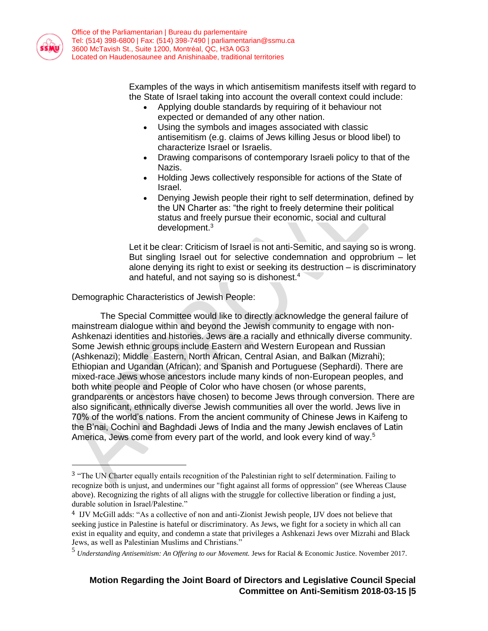

 $\overline{\phantom{a}}$ 

Office of the Parliamentarian | Bureau du parlementaire Tel: (514) 398-6800 | Fax: (514) 398-7490 | parliamentarian@ssmu.ca 3600 McTavish St., Suite 1200, Montréal, QC, H3A 0G3 Located on Haudenosaunee and Anishinaabe, traditional territories

> Examples of the ways in which antisemitism manifests itself with regard to the State of Israel taking into account the overall context could include:

- Applying double standards by requiring of it behaviour not expected or demanded of any other nation.
- Using the symbols and images associated with classic antisemitism (e.g. claims of Jews killing Jesus or blood libel) to characterize Israel or Israelis.
- Drawing comparisons of contemporary Israeli policy to that of the Nazis.
- Holding Jews collectively responsible for actions of the State of Israel.
- Denying Jewish people their right to self determination, defined by the UN Charter as: "the right to freely determine their political status and freely pursue their economic, social and cultural development.<sup>3</sup>

Let it be clear: Criticism of Israel is not anti-Semitic, and saying so is wrong. But singling Israel out for selective condemnation and opprobrium – let alone denying its right to exist or seeking its destruction – is discriminatory and hateful, and not saying so is dishonest.<sup>4</sup>

Demographic Characteristics of Jewish People:

The Special Committee would like to directly acknowledge the general failure of mainstream dialogue within and beyond the Jewish community to engage with non-Ashkenazi identities and histories. Jews are a racially and ethnically diverse community. Some Jewish ethnic groups include Eastern and Western European and Russian (Ashkenazi); Middle Eastern, North African, Central Asian, and Balkan (Mizrahi); Ethiopian and Ugandan (African); and Spanish and Portuguese (Sephardi). There are mixed-race Jews whose ancestors include many kinds of non-European peoples, and both white people and People of Color who have chosen (or whose parents, grandparents or ancestors have chosen) to become Jews through conversion. There are also significant, ethnically diverse Jewish communities all over the world. Jews live in 70% of the world's nations. From the ancient community of Chinese Jews in Kaifeng to the B'nai, Cochini and Baghdadi Jews of India and the many Jewish enclaves of Latin America, Jews come from every part of the world, and look every kind of way.<sup>5</sup>

## **Motion Regarding the Joint Board of Directors and Legislative Council Special Committee on Anti-Semitism 2018-03-15 |5**

<sup>3</sup> "The UN Charter equally entails recognition of the Palestinian right to self determination. Failing to recognize both is unjust, and undermines our "fight against all forms of oppression" (see Whereas Clause above). Recognizing the rights of all aligns with the struggle for collective liberation or finding a just, durable solution in Israel/Palestine."

<sup>4</sup> IJV McGill adds: "As a collective of non and anti-Zionist Jewish people, IJV does not believe that seeking justice in Palestine is hateful or discriminatory. As Jews, we fight for a society in which all can exist in equality and equity, and condemn a state that privileges a Ashkenazi Jews over Mizrahi and Black Jews, as well as Palestinian Muslims and Christians."

<sup>5</sup> *Understanding Antisemitism: An Offering to our Movement.* Jews for Racial & Economic Justice. November 2017.